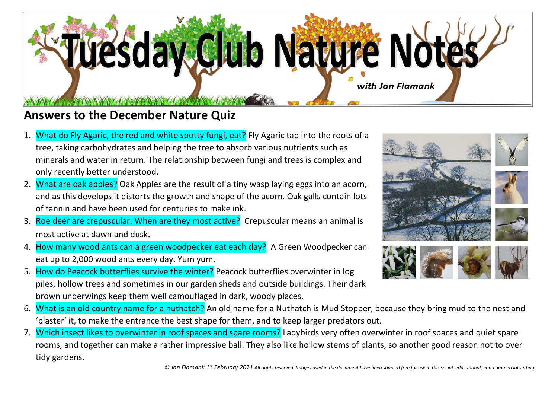

## **Answers to the December Nature Quiz**

- 1. What do Fly Agaric, the red and white spotty fungi, eat? Fly Agaric tap into the roots of a tree, taking carbohydrates and helping the tree to absorb various nutrients such as minerals and water in return. The relationship between fungi and trees is complex and only recently better understood.
- 2. What are oak apples? Oak Apples are the result of a tiny wasp laying eggs into an acorn, and as this develops it distorts the growth and shape of the acorn. Oak galls contain lots of tannin and have been used for centuries to make ink.
- 3. Roe deer are crepuscular. When are they most active? Crepuscular means an animal is most active at dawn and dusk.
- 4. How many wood ants can a green woodpecker eat each day? A Green Woodpecker can eat up to 2,000 wood ants every day. Yum yum.
- 5. How do Peacock butterflies survive the winter? Peacock butterflies overwinter in log piles, hollow trees and sometimes in our garden sheds and outside buildings. Their dark brown underwings keep them well camouflaged in dark, woody places.



- 6. What is an old country name for a nuthatch? An old name for a Nuthatch is Mud Stopper, because they bring mud to the nest and 'plaster' it, to make the entrance the best shape for them, and to keep larger predators out.
- 7. Which insect likes to overwinter in roof spaces and spare rooms? Ladybirds very often overwinter in roof spaces and quiet spare rooms, and together can make a rather impressive ball. They also like hollow stems of plants, so another good reason not to over tidy gardens.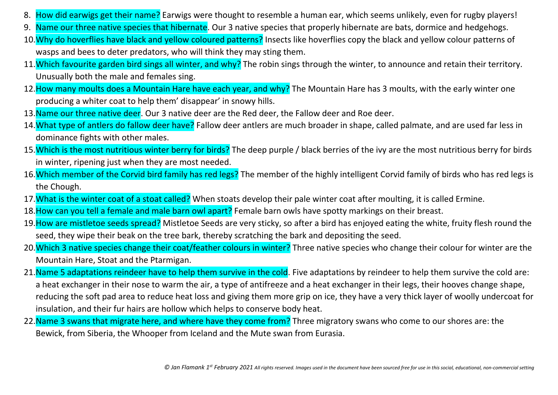- 8. How did earwigs get their name? Earwigs were thought to resemble a human ear, which seems unlikely, even for rugby players!
- 9. Name our three native species that hibernate. Our 3 native species that properly hibernate are bats, dormice and hedgehogs.
- 10. Why do hoverflies have black and yellow coloured patterns? Insects like hoverflies copy the black and yellow colour patterns of wasps and bees to deter predators, who will think they may sting them.
- 11. Which favourite garden bird sings all winter, and why? The robin sings through the winter, to announce and retain their territory. Unusually both the male and females sing.
- 12. How many moults does a Mountain Hare have each year, and why? The Mountain Hare has 3 moults, with the early winter one producing a whiter coat to help them' disappear' in snowy hills.
- 13. Name our three native deer. Our 3 native deer are the Red deer, the Fallow deer and Roe deer.
- 14. What type of antlers do fallow deer have? Fallow deer antlers are much broader in shape, called palmate, and are used far less in dominance fights with other males.
- 15. Which is the most nutritious winter berry for birds? The deep purple / black berries of the ivy are the most nutritious berry for birds in winter, ripening just when they are most needed.
- 16.Which member of the Corvid bird family has red legs? The member of the highly intelligent Corvid family of birds who has red legs is the Chough.
- 17. What is the winter coat of a stoat called? When stoats develop their pale winter coat after moulting, it is called Ermine.
- 18. How can you tell a female and male barn owl apart? Female barn owls have spotty markings on their breast.
- 19. How are mistletoe seeds spread? Mistletoe Seeds are very sticky, so after a bird has enjoyed eating the white, fruity flesh round the seed, they wipe their beak on the tree bark, thereby scratching the bark and depositing the seed.
- 20. Which 3 native species change their coat/feather colours in winter? Three native species who change their colour for winter are the Mountain Hare, Stoat and the Ptarmigan.
- 21. Name 5 adaptations reindeer have to help them survive in the cold. Five adaptations by reindeer to help them survive the cold are: a heat exchanger in their nose to warm the air, a type of antifreeze and a heat exchanger in their legs, their hooves change shape, reducing the soft pad area to reduce heat loss and giving them more grip on ice, they have a very thick layer of woolly undercoat for insulation, and their fur hairs are hollow which helps to conserve body heat.
- 22. Name 3 swans that migrate here, and where have they come from? Three migratory swans who come to our shores are: the Bewick, from Siberia, the Whooper from Iceland and the Mute swan from Eurasia.